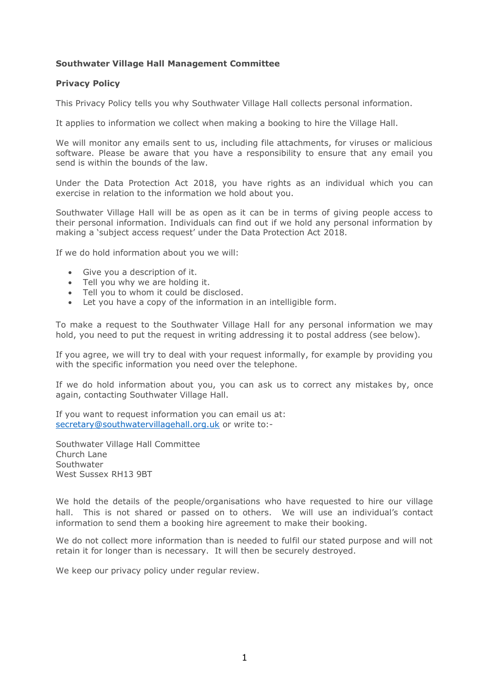## **Southwater Village Hall Management Committee**

## **Privacy Policy**

This Privacy Policy tells you why Southwater Village Hall collects personal information.

It applies to information we collect when making a booking to hire the Village Hall.

We will monitor any emails sent to us, including file attachments, for viruses or malicious software. Please be aware that you have a responsibility to ensure that any email you send is within the bounds of the law.

Under the Data Protection Act 2018, you have rights as an individual which you can exercise in relation to the information we hold about you.

Southwater Village Hall will be as open as it can be in terms of giving people access to their personal information. Individuals can find out if we hold any personal information by making a 'subject access request' under the Data Protection Act 2018.

If we do hold information about you we will:

- Give you a description of it.
- Tell you why we are holding it.
- Tell you to whom it could be disclosed.
- Let you have a copy of the information in an intelligible form.

To make a request to the Southwater Village Hall for any personal information we may hold, you need to put the request in writing addressing it to postal address (see below).

If you agree, we will try to deal with your request informally, for example by providing you with the specific information you need over the telephone.

If we do hold information about you, you can ask us to correct any mistakes by, once again, contacting Southwater Village Hall.

If you want to request information you can email us at: [secretary@southwatervillagehall.org.uk](mailto:info@southwatervillagehall.org.uk) or write to:-

Southwater Village Hall Committee Church Lane Southwater West Sussex RH13 9BT

We hold the details of the people/organisations who have requested to hire our village hall. This is not shared or passed on to others. We will use an individual's contact information to send them a booking hire agreement to make their booking.

We do not collect more information than is needed to fulfil our stated purpose and will not retain it for longer than is necessary. It will then be securely destroyed.

We keep our privacy policy under regular review.